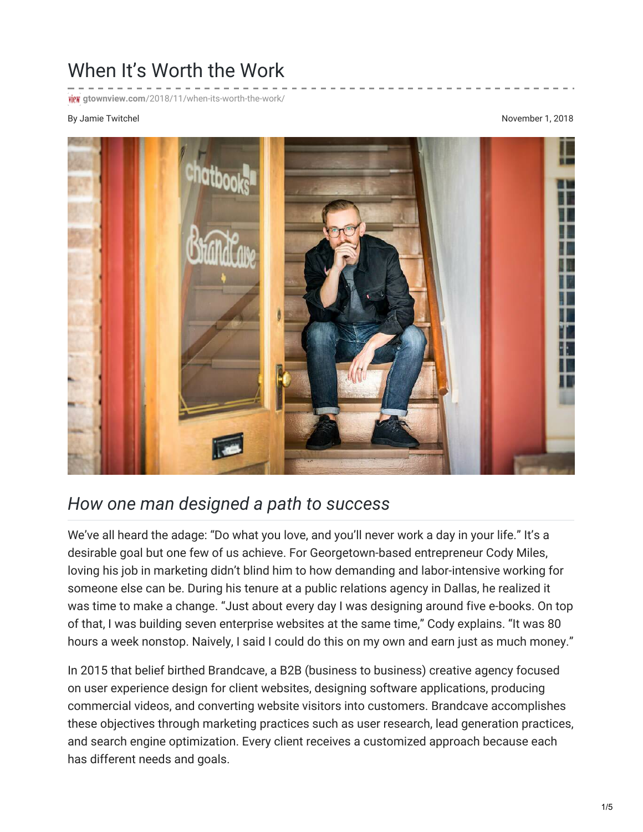## When It's Worth the Work

**FICK** gtownview.com[/2018/11/when-its-worth-the-work/](http://gtownview.com/2018/11/when-its-worth-the-work/)

## By Jamie Twitchel November 1, 2018



## *How one man designed a path to success*

We've all heard the adage: "Do what you love, and you'll never work a day in your life." It's a desirable goal but one few of us achieve. For Georgetown-based entrepreneur Cody Miles, loving his job in marketing didn't blind him to how demanding and labor-intensive working for someone else can be. During his tenure at a public relations agency in Dallas, he realized it was time to make a change. "Just about every day I was designing around five e-books. On top of that, I was building seven enterprise websites at the same time," Cody explains. "It was 80 hours a week nonstop. Naively, I said I could do this on my own and earn just as much money."

In 2015 that belief birthed Brandcave, a B2B (business to business) creative agency focused on user experience design for client websites, designing software applications, producing commercial videos, and converting website visitors into customers. Brandcave accomplishes these objectives through marketing practices such as user research, lead generation practices, and search engine optimization. Every client receives a customized approach because each has different needs and goals.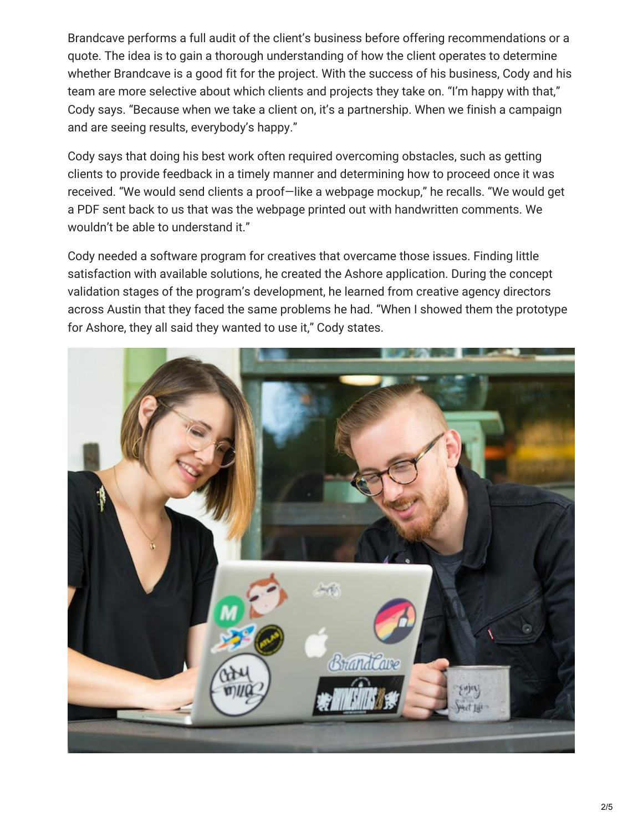Brandcave performs a full audit of the client's business before offering recommendations or a quote. The idea is to gain a thorough understanding of how the client operates to determine whether Brandcave is a good fit for the project. With the success of his business, Cody and his team are more selective about which clients and projects they take on. "I'm happy with that," Cody says. "Because when we take a client on, it's a partnership. When we finish a campaign and are seeing results, everybody's happy."

Cody says that doing his best work often required overcoming obstacles, such as getting clients to provide feedback in a timely manner and determining how to proceed once it was received. "We would send clients a proof—like a webpage mockup," he recalls. "We would get a PDF sent back to us that was the webpage printed out with handwritten comments. We wouldn't be able to understand it."

Cody needed a software program for creatives that overcame those issues. Finding little satisfaction with available solutions, he created the Ashore application. During the concept validation stages of the program's development, he learned from creative agency directors across Austin that they faced the same problems he had. "When I showed them the prototype for Ashore, they all said they wanted to use it," Cody states.

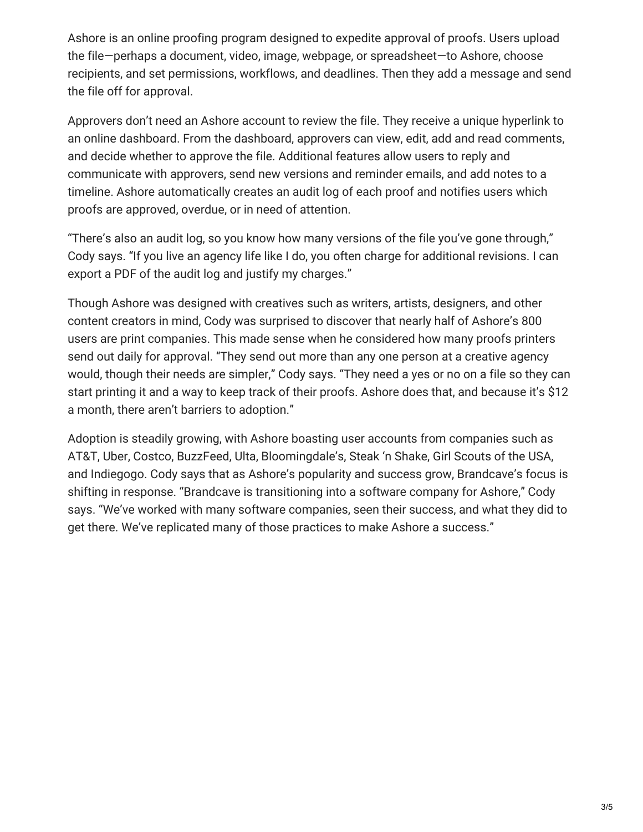Ashore is an online proofing program designed to expedite approval of proofs. Users upload the file—perhaps a document, video, image, webpage, or spreadsheet—to Ashore, choose recipients, and set permissions, workflows, and deadlines. Then they add a message and send the file off for approval.

Approvers don't need an Ashore account to review the file. They receive a unique hyperlink to an online dashboard. From the dashboard, approvers can view, edit, add and read comments, and decide whether to approve the file. Additional features allow users to reply and communicate with approvers, send new versions and reminder emails, and add notes to a timeline. Ashore automatically creates an audit log of each proof and notifies users which proofs are approved, overdue, or in need of attention.

"There's also an audit log, so you know how many versions of the file you've gone through," Cody says. "If you live an agency life like I do, you often charge for additional revisions. I can export a PDF of the audit log and justify my charges."

Though Ashore was designed with creatives such as writers, artists, designers, and other content creators in mind, Cody was surprised to discover that nearly half of Ashore's 800 users are print companies. This made sense when he considered how many proofs printers send out daily for approval. "They send out more than any one person at a creative agency would, though their needs are simpler," Cody says. "They need a yes or no on a file so they can start printing it and a way to keep track of their proofs. Ashore does that, and because it's \$12 a month, there aren't barriers to adoption."

Adoption is steadily growing, with Ashore boasting user accounts from companies such as AT&T, Uber, Costco, BuzzFeed, Ulta, Bloomingdale's, Steak 'n Shake, Girl Scouts of the USA, and Indiegogo. Cody says that as Ashore's popularity and success grow, Brandcave's focus is shifting in response. "Brandcave is transitioning into a software company for Ashore," Cody says. "We've worked with many software companies, seen their success, and what they did to get there. We've replicated many of those practices to make Ashore a success."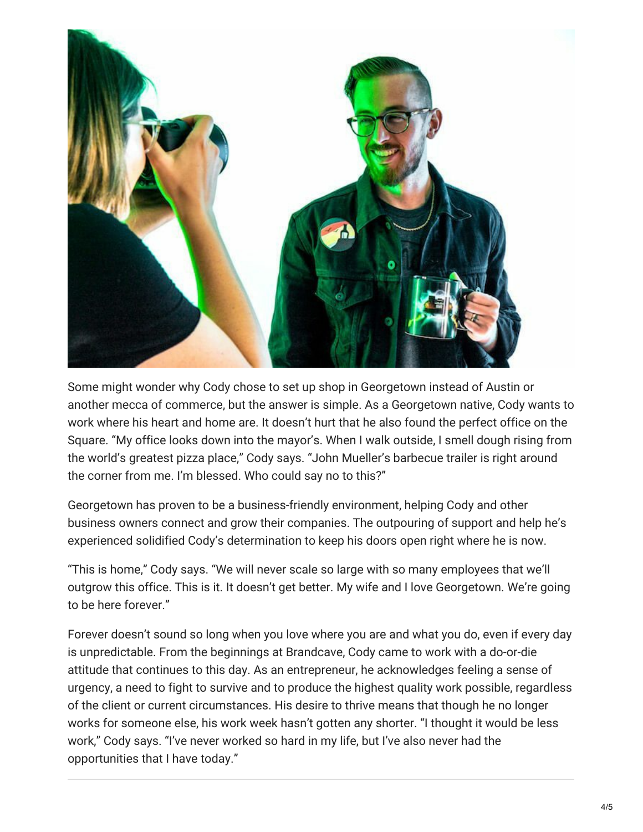

Some might wonder why Cody chose to set up shop in Georgetown instead of Austin or another mecca of commerce, but the answer is simple. As a Georgetown native, Cody wants to work where his heart and home are. It doesn't hurt that he also found the perfect office on the Square. "My office looks down into the mayor's. When I walk outside, I smell dough rising from the world's greatest pizza place," Cody says. "John Mueller's barbecue trailer is right around the corner from me. I'm blessed. Who could say no to this?"

Georgetown has proven to be a business-friendly environment, helping Cody and other business owners connect and grow their companies. The outpouring of support and help he's experienced solidified Cody's determination to keep his doors open right where he is now.

"This is home," Cody says. "We will never scale so large with so many employees that we'll outgrow this office. This is it. It doesn't get better. My wife and I love Georgetown. We're going to be here forever."

Forever doesn't sound so long when you love where you are and what you do, even if every day is unpredictable. From the beginnings at Brandcave, Cody came to work with a do-or-die attitude that continues to this day. As an entrepreneur, he acknowledges feeling a sense of urgency, a need to fight to survive and to produce the highest quality work possible, regardless of the client or current circumstances. His desire to thrive means that though he no longer works for someone else, his work week hasn't gotten any shorter. "I thought it would be less work," Cody says. "I've never worked so hard in my life, but I've also never had the opportunities that I have today."